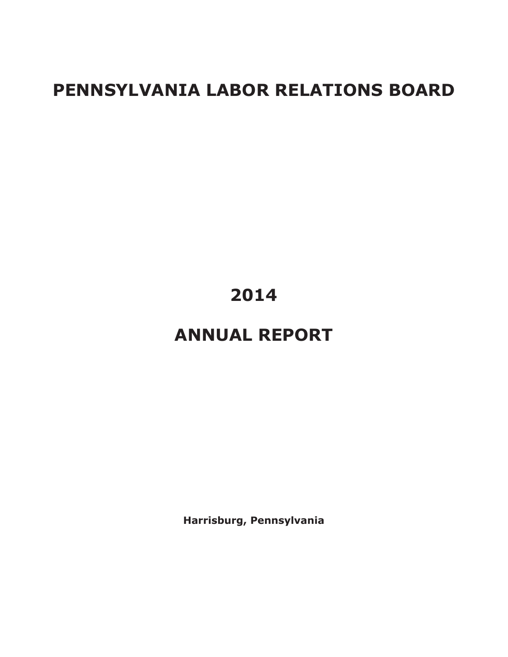# **PENNSYLVANIA LABOR RELATIONS BOARD**

# **2014**

# **ANNUAL REPORT**

**Harrisburg, Pennsylvania**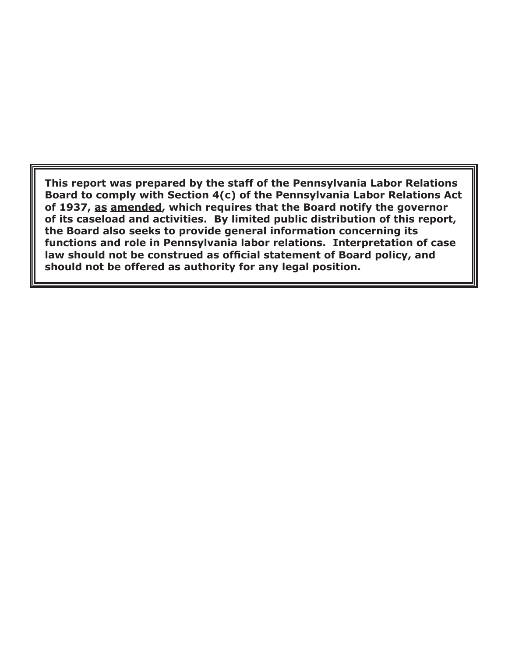**This report was prepared by the staff of the Pennsylvania Labor Relations Board to comply with Section 4(c) of the Pennsylvania Labor Relations Act of 1937, as amended, which requires that the Board notify the governor of its caseload and activities. By limited public distribution of this report, the Board also seeks to provide general information concerning its functions and role in Pennsylvania labor relations. Interpretation of case law should not be construed as official statement of Board policy, and should not be offered as authority for any legal position.**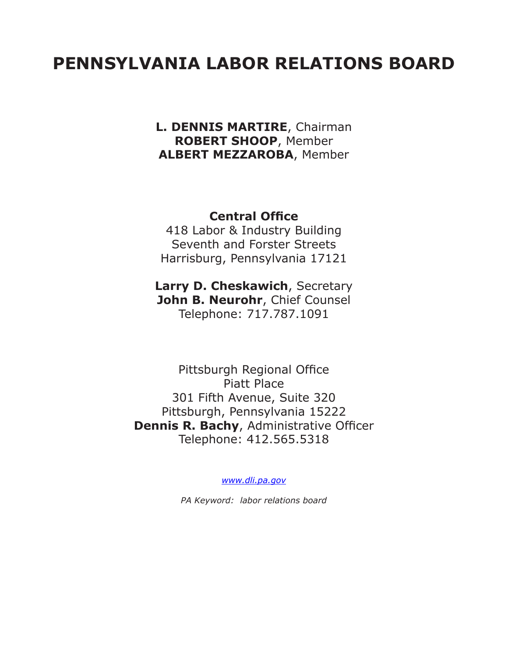# **PENNSYLVANIA LABOR RELATIONS BOARD**

**L. DENNIS MARTIRE**, Chairman **ROBERT SHOOP**, Member **ALBERT MEZZAROBA**, Member

## **Central Office**

418 Labor & Industry Building Seventh and Forster Streets Harrisburg, Pennsylvania 17121

**Larry D. Cheskawich**, Secretary **John B. Neurohr**, Chief Counsel Telephone: 717.787.1091

Pittsburgh Regional Office Piatt Place 301 Fifth Avenue, Suite 320 Pittsburgh, Pennsylvania 15222 **Dennis R. Bachy**, Administrative Officer Telephone: 412.565.5318

*www.dli.pa.gov*

*PA Keyword: labor relations board*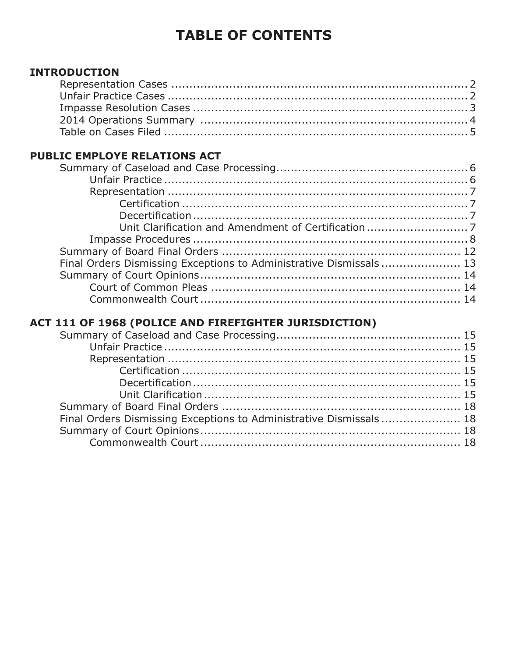## **TABLE OF CONTENTS**

## **INTRODUCTION**

## **PUBLIC EMPLOYE RELATIONS ACT**

| Final Orders Dismissing Exceptions to Administrative Dismissals 13 |  |
|--------------------------------------------------------------------|--|
|                                                                    |  |
|                                                                    |  |
|                                                                    |  |

## ACT 111 OF 1968 (POLICE AND FIREFIGHTER JURISDICTION)

| Final Orders Dismissing Exceptions to Administrative Dismissals  18 |  |
|---------------------------------------------------------------------|--|
|                                                                     |  |
|                                                                     |  |
|                                                                     |  |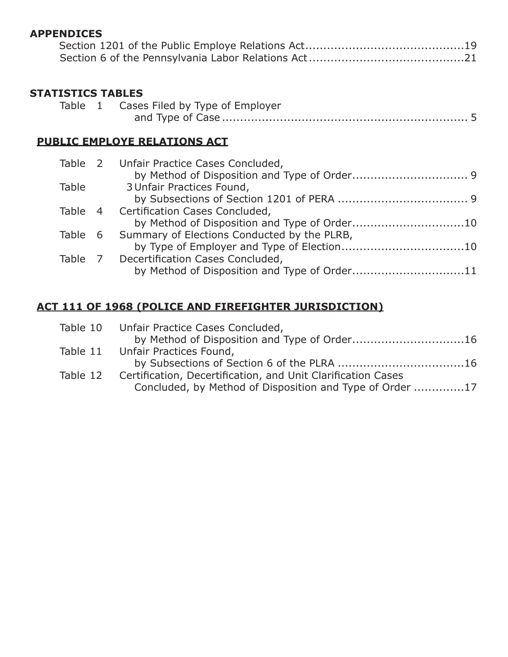#### **APPENDICES**

### **STATISTICS TABLES**

|  | Table 1 Cases Filed by Type of Employer |
|--|-----------------------------------------|
|  |                                         |

## **PUBLIC EMPLOYE RELATIONS ACT**

|         | Table 2 Unfair Practice Cases Concluded,     |
|---------|----------------------------------------------|
|         |                                              |
| Table   | 3 Unfair Practices Found,                    |
|         |                                              |
|         | Table 4 Certification Cases Concluded,       |
|         |                                              |
| Table 6 | Summary of Elections Conducted by the PLRB,  |
|         |                                              |
|         | Table 7 Decertification Cases Concluded,     |
|         | by Method of Disposition and Type of Order11 |
|         |                                              |

## **ACT 111 OF 1968 (POLICE AND FIREFIGHTER JURISDICTION)**

| Table 10 Unfair Practice Cases Concluded,                    |          |
|--------------------------------------------------------------|----------|
| by Method of Disposition and Type of Order16                 |          |
| Table 11 Unfair Practices Found,                             |          |
|                                                              |          |
| Certification, Decertification, and Unit Clarification Cases | Table 12 |
| Concluded, by Method of Disposition and Type of Order 17     |          |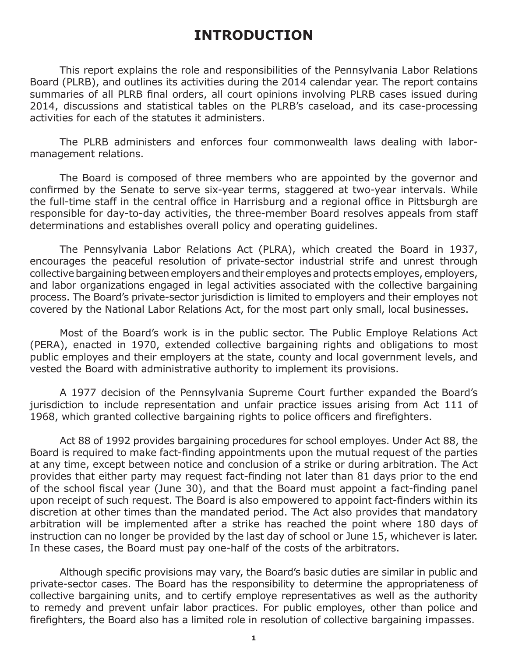## **INTRODUCTION**

This report explains the role and responsibilities of the Pennsylvania Labor Relations Board (PLRB), and outlines its activities during the 2014 calendar year. The report contains summaries of all PLRB final orders, all court opinions involving PLRB cases issued during 2014, discussions and statistical tables on the PLRB's caseload, and its case-processing activities for each of the statutes it administers.

The PLRB administers and enforces four commonwealth laws dealing with labormanagement relations.

The Board is composed of three members who are appointed by the governor and confirmed by the Senate to serve six-year terms, staggered at two-year intervals. While the full-time staff in the central office in Harrisburg and a regional office in Pittsburgh are responsible for day-to-day activities, the three-member Board resolves appeals from staff determinations and establishes overall policy and operating guidelines.

The Pennsylvania Labor Relations Act (PLRA), which created the Board in 1937, encourages the peaceful resolution of private-sector industrial strife and unrest through collective bargaining between employers and their employes and protects employes, employers, and labor organizations engaged in legal activities associated with the collective bargaining process. The Board's private-sector jurisdiction is limited to employers and their employes not covered by the National Labor Relations Act, for the most part only small, local businesses.

Most of the Board's work is in the public sector. The Public Employe Relations Act (PERA), enacted in 1970, extended collective bargaining rights and obligations to most public employes and their employers at the state, county and local government levels, and vested the Board with administrative authority to implement its provisions.

A 1977 decision of the Pennsylvania Supreme Court further expanded the Board's jurisdiction to include representation and unfair practice issues arising from Act 111 of 1968, which granted collective bargaining rights to police officers and firefighters.

Act 88 of 1992 provides bargaining procedures for school employes. Under Act 88, the Board is required to make fact-finding appointments upon the mutual request of the parties at any time, except between notice and conclusion of a strike or during arbitration. The Act provides that either party may request fact-finding not later than 81 days prior to the end of the school fiscal year (June 30), and that the Board must appoint a fact‑finding panel upon receipt of such request. The Board is also empowered to appoint fact-finders within its discretion at other times than the mandated period. The Act also provides that mandatory arbitration will be implemented after a strike has reached the point where 180 days of instruction can no longer be provided by the last day of school or June 15, whichever is later. In these cases, the Board must pay one-half of the costs of the arbitrators.

Although specific provisions may vary, the Board's basic duties are similar in public and private-sector cases. The Board has the responsibility to determine the appropriateness of collective bargaining units, and to certify employe representatives as well as the authority to remedy and prevent unfair labor practices. For public employes, other than police and firefighters, the Board also has a limited role in resolution of collective bargaining impasses.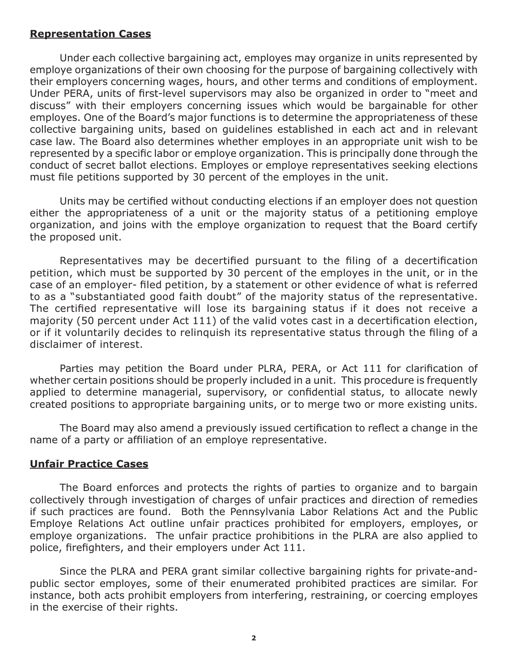#### **Representation Cases**

Under each collective bargaining act, employes may organize in units represented by employe organizations of their own choosing for the purpose of bargaining collectively with their employers concerning wages, hours, and other terms and conditions of employment. Under PERA, units of first-level supervisors may also be organized in order to "meet and discuss" with their employers concerning issues which would be bargainable for other employes. One of the Board's major functions is to determine the appropriateness of these collective bargaining units, based on guidelines established in each act and in relevant case law. The Board also determines whether employes in an appropriate unit wish to be represented by a specific labor or employe organization. This is principally done through the conduct of secret ballot elections. Employes or employe representatives seeking elections must file petitions supported by 30 percent of the employes in the unit.

Units may be certified without conducting elections if an employer does not question either the appropriateness of a unit or the majority status of a petitioning employe organization, and joins with the employe organization to request that the Board certify the proposed unit.

Representatives may be decertified pursuant to the filing of a decertification petition, which must be supported by 30 percent of the employes in the unit, or in the case of an employer- filed petition, by a statement or other evidence of what is referred to as a "substantiated good faith doubt" of the majority status of the representative. The certified representative will lose its bargaining status if it does not receive a majority (50 percent under Act 111) of the valid votes cast in a decertification election, or if it voluntarily decides to relinquish its representative status through the filing of a disclaimer of interest.

Parties may petition the Board under PLRA, PERA, or Act 111 for clarification of whether certain positions should be properly included in a unit. This procedure is frequently applied to determine managerial, supervisory, or confidential status, to allocate newly created positions to appropriate bargaining units, or to merge two or more existing units.

The Board may also amend a previously issued certification to reflect a change in the name of a party or affiliation of an employe representative.

#### **Unfair Practice Cases**

The Board enforces and protects the rights of parties to organize and to bargain collectively through investigation of charges of unfair practices and direction of remedies if such practices are found. Both the Pennsylvania Labor Relations Act and the Public Employe Relations Act outline unfair practices prohibited for employers, employes, or employe organizations. The unfair practice prohibitions in the PLRA are also applied to police, firefighters, and their employers under Act 111.

Since the PLRA and PERA grant similar collective bargaining rights for private-andpublic sector employes, some of their enumerated prohibited practices are similar. For instance, both acts prohibit employers from interfering, restraining, or coercing employes in the exercise of their rights.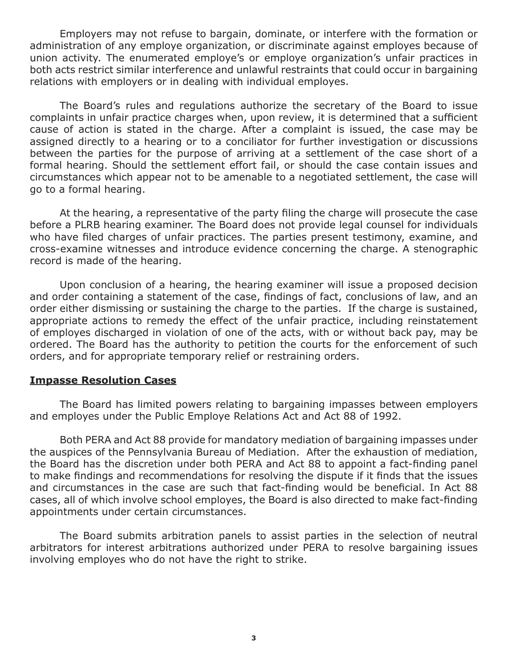Employers may not refuse to bargain, dominate, or interfere with the formation or administration of any employe organization, or discriminate against employes because of union activity. The enumerated employe's or employe organization's unfair practices in both acts restrict similar interference and unlawful restraints that could occur in bargaining relations with employers or in dealing with individual employes.

The Board's rules and regulations authorize the secretary of the Board to issue complaints in unfair practice charges when, upon review, it is determined that a sufficient cause of action is stated in the charge. After a complaint is issued, the case may be assigned directly to a hearing or to a conciliator for further investigation or discussions between the parties for the purpose of arriving at a settlement of the case short of a formal hearing. Should the settlement effort fail, or should the case contain issues and circumstances which appear not to be amenable to a negotiated settlement, the case will go to a formal hearing.

At the hearing, a representative of the party filing the charge will prosecute the case before a PLRB hearing examiner. The Board does not provide legal counsel for individuals who have filed charges of unfair practices. The parties present testimony, examine, and cross-examine witnesses and introduce evidence concerning the charge. A stenographic record is made of the hearing.

Upon conclusion of a hearing, the hearing examiner will issue a proposed decision and order containing a statement of the case, findings of fact, conclusions of law, and an order either dismissing or sustaining the charge to the parties. If the charge is sustained, appropriate actions to remedy the effect of the unfair practice, including reinstatement of employes discharged in violation of one of the acts, with or without back pay, may be ordered. The Board has the authority to petition the courts for the enforcement of such orders, and for appropriate temporary relief or restraining orders.

#### **Impasse Resolution Cases**

The Board has limited powers relating to bargaining impasses between employers and employes under the Public Employe Relations Act and Act 88 of 1992.

Both PERA and Act 88 provide for mandatory mediation of bargaining impasses under the auspices of the Pennsylvania Bureau of Mediation. After the exhaustion of mediation, the Board has the discretion under both PERA and Act 88 to appoint a fact-finding panel to make findings and recommendations for resolving the dispute if it finds that the issues and circumstances in the case are such that fact-finding would be beneficial. In Act 88 cases, all of which involve school employes, the Board is also directed to make fact-finding appointments under certain circumstances.

The Board submits arbitration panels to assist parties in the selection of neutral arbitrators for interest arbitrations authorized under PERA to resolve bargaining issues involving employes who do not have the right to strike.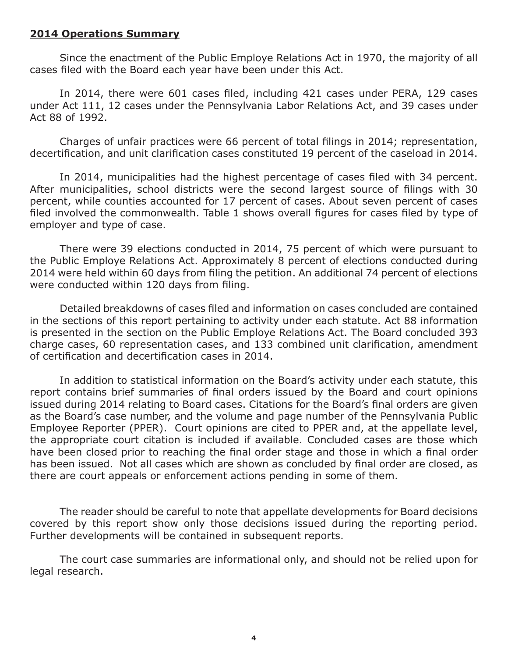#### **2014 Operations Summary**

Since the enactment of the Public Employe Relations Act in 1970, the majority of all cases filed with the Board each year have been under this Act.

In 2014, there were 601 cases filed, including 421 cases under PERA, 129 cases under Act 111, 12 cases under the Pennsylvania Labor Relations Act, and 39 cases under Act 88 of 1992.

Charges of unfair practices were 66 percent of total filings in 2014; representation, decertification, and unit clarification cases constituted 19 percent of the caseload in 2014.

In 2014, municipalities had the highest percentage of cases filed with 34 percent. After municipalities, school districts were the second largest source of filings with 30 percent, while counties accounted for 17 percent of cases. About seven percent of cases filed involved the commonwealth. Table 1 shows overall figures for cases filed by type of employer and type of case.

There were 39 elections conducted in 2014, 75 percent of which were pursuant to the Public Employe Relations Act. Approximately 8 percent of elections conducted during 2014 were held within 60 days from filing the petition. An additional 74 percent of elections were conducted within 120 days from filing.

Detailed breakdowns of cases filed and information on cases concluded are contained in the sections of this report pertaining to activity under each statute. Act 88 information is presented in the section on the Public Employe Relations Act. The Board concluded 393 charge cases, 60 representation cases, and 133 combined unit clarification, amendment of certification and decertification cases in 2014.

In addition to statistical information on the Board's activity under each statute, this report contains brief summaries of final orders issued by the Board and court opinions issued during 2014 relating to Board cases. Citations for the Board's final orders are given as the Board's case number, and the volume and page number of the Pennsylvania Public Employee Reporter (PPER). Court opinions are cited to PPER and, at the appellate level, the appropriate court citation is included if available. Concluded cases are those which have been closed prior to reaching the final order stage and those in which a final order has been issued. Not all cases which are shown as concluded by final order are closed, as there are court appeals or enforcement actions pending in some of them.

The reader should be careful to note that appellate developments for Board decisions covered by this report show only those decisions issued during the reporting period. Further developments will be contained in subsequent reports.

The court case summaries are informational only, and should not be relied upon for legal research.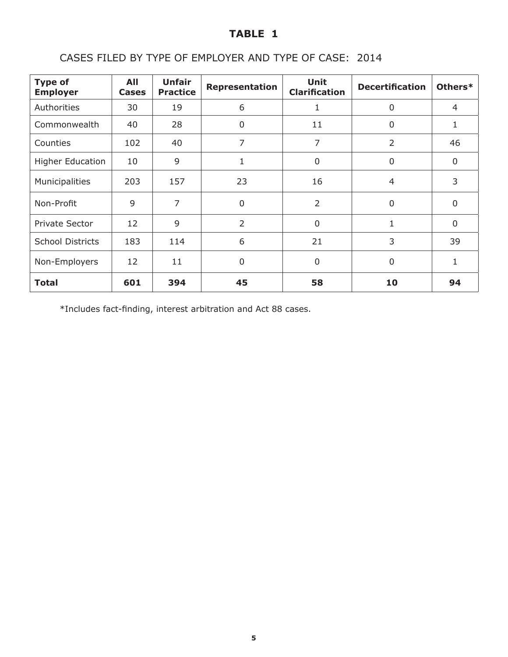## CASES FILED BY TYPE OF EMPLOYER AND TYPE OF CASE: 2014

| <b>Type of</b><br><b>Employer</b> | All<br><b>Cases</b> | <b>Unfair</b><br><b>Practice</b> | Representation | <b>Unit</b><br><b>Clarification</b> | <b>Decertification</b> | Others*        |
|-----------------------------------|---------------------|----------------------------------|----------------|-------------------------------------|------------------------|----------------|
| Authorities                       | 30                  | 19                               | 6              | 1                                   | 0                      | $\overline{4}$ |
| Commonwealth                      | 40                  | 28                               | 0              | 11                                  | 0                      | 1              |
| Counties                          | 102                 | 40                               | 7              | $\overline{7}$                      | $\overline{2}$         | 46             |
| <b>Higher Education</b>           | 10                  | 9                                | 1              | $\mathbf 0$                         | 0                      | $\mathbf 0$    |
| Municipalities                    | 203                 | 157                              | 23             | 16                                  | $\overline{4}$         | 3              |
| Non-Profit                        | 9                   | 7                                | 0              | $\overline{2}$                      | 0                      | $\mathbf 0$    |
| Private Sector                    | 12                  | 9                                | $\overline{2}$ | $\overline{0}$                      | 1                      | $\overline{0}$ |
| <b>School Districts</b>           | 183                 | 114                              | 6              | 21                                  | 3                      | 39             |
| Non-Employers                     | 12                  | 11                               | $\overline{0}$ | $\mathbf 0$                         | 0                      | 1              |
| <b>Total</b>                      | 601                 | 394                              | 45             | 58                                  | 10                     | 94             |

\*Includes fact-finding, interest arbitration and Act 88 cases.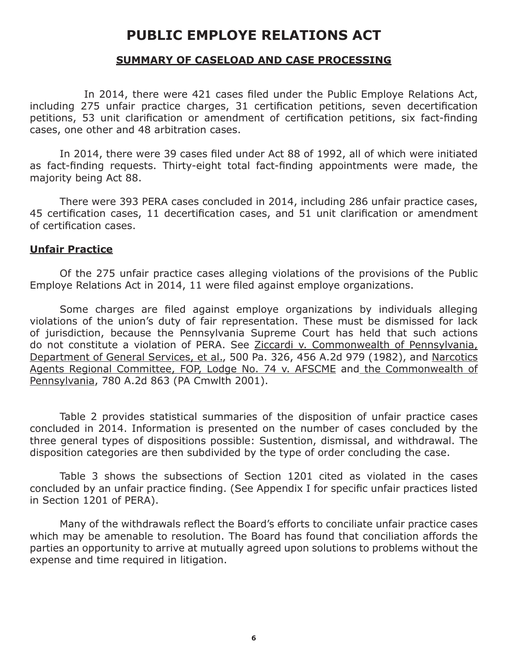## **PUBLIC EMPLOYE RELATIONS ACT**

#### **SUMMARY OF CASELOAD AND CASE PROCESSING**

 In 2014, there were 421 cases filed under the Public Employe Relations Act, including 275 unfair practice charges, 31 certification petitions, seven decertification petitions, 53 unit clarification or amendment of certification petitions, six fact‑finding cases, one other and 48 arbitration cases.

In 2014, there were 39 cases filed under Act 88 of 1992, all of which were initiated as fact-finding requests. Thirty-eight total fact-finding appointments were made, the majority being Act 88.

There were 393 PERA cases concluded in 2014, including 286 unfair practice cases, 45 certification cases, 11 decertification cases, and 51 unit clarification or amendment of certification cases.

#### **Unfair Practice**

Of the 275 unfair practice cases alleging violations of the provisions of the Public Employe Relations Act in 2014, 11 were filed against employe organizations.

Some charges are filed against employe organizations by individuals alleging violations of the union's duty of fair representation. These must be dismissed for lack of jurisdiction, because the Pennsylvania Supreme Court has held that such actions do not constitute a violation of PERA. See Ziccardi v. Commonwealth of Pennsylvania, Department of General Services, et al., 500 Pa. 326, 456 A.2d 979 (1982), and Narcotics Agents Regional Committee, FOP, Lodge No. 74 v. AFSCME and the Commonwealth of Pennsylvania, 780 A.2d 863 (PA Cmwlth 2001).

Table 2 provides statistical summaries of the disposition of unfair practice cases concluded in 2014. Information is presented on the number of cases concluded by the three general types of dispositions possible: Sustention, dismissal, and withdrawal. The disposition categories are then subdivided by the type of order concluding the case.

Table 3 shows the subsections of Section 1201 cited as violated in the cases concluded by an unfair practice finding. (See Appendix I for specific unfair practices listed in Section 1201 of PERA).

Many of the withdrawals reflect the Board's efforts to conciliate unfair practice cases which may be amenable to resolution. The Board has found that conciliation affords the parties an opportunity to arrive at mutually agreed upon solutions to problems without the expense and time required in litigation.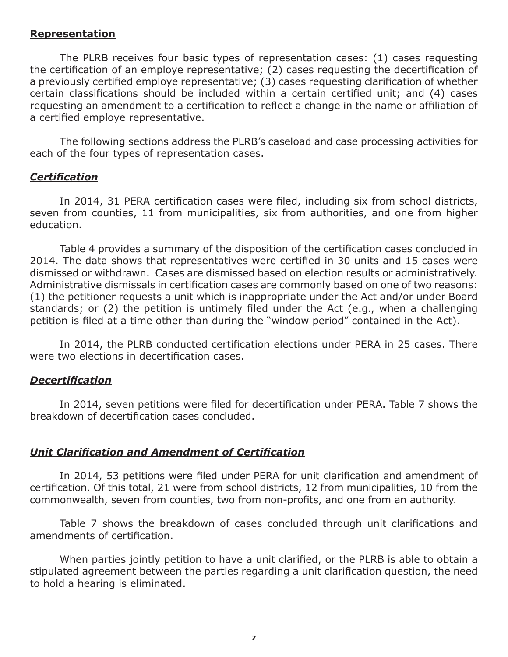#### **Representation**

The PLRB receives four basic types of representation cases: (1) cases requesting the certification of an employe representative; (2) cases requesting the decertification of a previously certified employe representative; (3) cases requesting clarification of whether certain classifications should be included within a certain certified unit; and (4) cases requesting an amendment to a certification to reflect a change in the name or affiliation of a certified employe representative.

The following sections address the PLRB's caseload and case processing activities for each of the four types of representation cases.

#### *Certification*

In 2014, 31 PERA certification cases were filed, including six from school districts, seven from counties, 11 from municipalities, six from authorities, and one from higher education.

Table 4 provides a summary of the disposition of the certification cases concluded in 2014. The data shows that representatives were certified in 30 units and 15 cases were dismissed or withdrawn. Cases are dismissed based on election results or administratively. Administrative dismissals in certification cases are commonly based on one of two reasons: (1) the petitioner requests a unit which is inappropriate under the Act and/or under Board standards; or (2) the petition is untimely filed under the Act (e.g., when a challenging petition is filed at a time other than during the "window period" contained in the Act).

In 2014, the PLRB conducted certification elections under PERA in 25 cases. There were two elections in decertification cases.

#### *Decertification*

In 2014, seven petitions were filed for decertification under PERA. Table 7 shows the breakdown of decertification cases concluded.

## *Unit Clarification and Amendment of Certification*

In 2014, 53 petitions were filed under PERA for unit clarification and amendment of certification. Of this total, 21 were from school districts, 12 from municipalities, 10 from the commonwealth, seven from counties, two from non-profits, and one from an authority.

Table 7 shows the breakdown of cases concluded through unit clarifications and amendments of certification.

When parties jointly petition to have a unit clarified, or the PLRB is able to obtain a stipulated agreement between the parties regarding a unit clarification question, the need to hold a hearing is eliminated.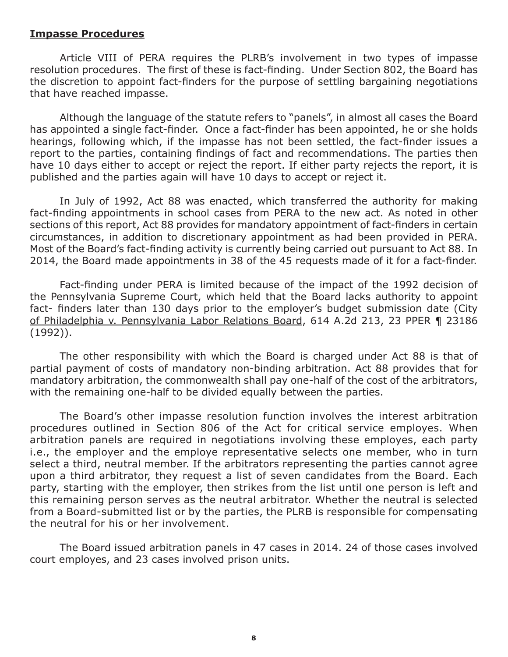#### **Impasse Procedures**

Article VIII of PERA requires the PLRB's involvement in two types of impasse resolution procedures. The first of these is fact-finding. Under Section 802, the Board has the discretion to appoint fact-finders for the purpose of settling bargaining negotiations that have reached impasse.

Although the language of the statute refers to "panels", in almost all cases the Board has appointed a single fact-finder. Once a fact-finder has been appointed, he or she holds hearings, following which, if the impasse has not been settled, the fact-finder issues a report to the parties, containing findings of fact and recommendations. The parties then have 10 days either to accept or reject the report. If either party rejects the report, it is published and the parties again will have 10 days to accept or reject it.

In July of 1992, Act 88 was enacted, which transferred the authority for making fact-finding appointments in school cases from PERA to the new act. As noted in other sections of this report, Act 88 provides for mandatory appointment of fact-finders in certain circumstances, in addition to discretionary appointment as had been provided in PERA. Most of the Board's fact-finding activity is currently being carried out pursuant to Act 88. In 2014, the Board made appointments in 38 of the 45 requests made of it for a fact-finder.

Fact-finding under PERA is limited because of the impact of the 1992 decision of the Pennsylvania Supreme Court, which held that the Board lacks authority to appoint fact- finders later than 130 days prior to the employer's budget submission date (City of Philadelphia v. Pennsylvania Labor Relations Board, 614 A.2d 213, 23 PPER ¶ 23186 (1992)).

The other responsibility with which the Board is charged under Act 88 is that of partial payment of costs of mandatory non-binding arbitration. Act 88 provides that for mandatory arbitration, the commonwealth shall pay one-half of the cost of the arbitrators, with the remaining one-half to be divided equally between the parties.

The Board's other impasse resolution function involves the interest arbitration procedures outlined in Section 806 of the Act for critical service employes. When arbitration panels are required in negotiations involving these employes, each party i.e., the employer and the employe representative selects one member, who in turn select a third, neutral member. If the arbitrators representing the parties cannot agree upon a third arbitrator, they request a list of seven candidates from the Board. Each party, starting with the employer, then strikes from the list until one person is left and this remaining person serves as the neutral arbitrator. Whether the neutral is selected from a Board-submitted list or by the parties, the PLRB is responsible for compensating the neutral for his or her involvement.

The Board issued arbitration panels in 47 cases in 2014. 24 of those cases involved court employes, and 23 cases involved prison units.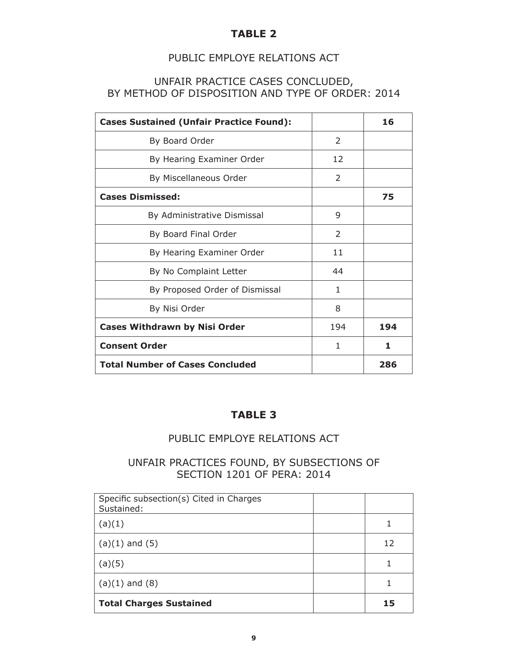#### PUBLIC EMPLOYE RELATIONS ACT

#### UNFAIR PRACTICE CASES CONCLUDED, BY METHOD OF DISPOSITION AND TYPE OF ORDER: 2014

| <b>Cases Sustained (Unfair Practice Found):</b> |               | 16  |
|-------------------------------------------------|---------------|-----|
| By Board Order                                  | $\mathcal{P}$ |     |
| By Hearing Examiner Order                       | 12            |     |
| By Miscellaneous Order                          | $\mathcal{P}$ |     |
| <b>Cases Dismissed:</b>                         |               | 75  |
| By Administrative Dismissal                     | 9             |     |
| By Board Final Order                            | $\mathcal{P}$ |     |
| By Hearing Examiner Order                       | 11            |     |
| By No Complaint Letter                          | 44            |     |
| By Proposed Order of Dismissal                  | 1             |     |
| By Nisi Order                                   | 8             |     |
| <b>Cases Withdrawn by Nisi Order</b>            | 194           | 194 |
| <b>Consent Order</b>                            | 1             | 1   |
| <b>Total Number of Cases Concluded</b>          |               | 286 |

#### **TABLE 3**

#### PUBLIC EMPLOYE RELATIONS ACT

### UNFAIR PRACTICES FOUND, BY SUBSECTIONS OF SECTION 1201 OF PERA: 2014

| Specific subsection(s) Cited in Charges<br>Sustained: |    |
|-------------------------------------------------------|----|
| (a)(1)                                                |    |
| $(a)(1)$ and $(5)$                                    | 12 |
| (a)(5)                                                |    |
| $(a)(1)$ and $(8)$                                    |    |
| <b>Total Charges Sustained</b>                        | 15 |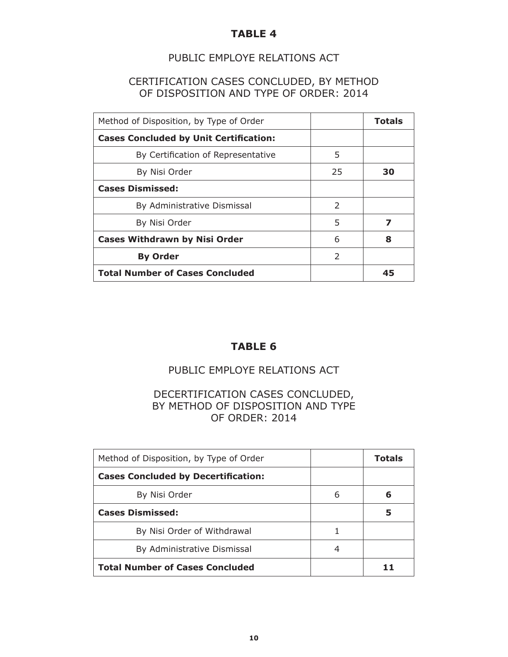#### PUBLIC EMPLOYE RELATIONS ACT

#### CERTIFICATION CASES CONCLUDED, BY METHOD OF DISPOSITION AND TYPE OF ORDER: 2014

| Method of Disposition, by Type of Order       |               | <b>Totals</b> |
|-----------------------------------------------|---------------|---------------|
| <b>Cases Concluded by Unit Certification:</b> |               |               |
| By Certification of Representative            | 5             |               |
| By Nisi Order                                 | 25            | 30            |
| <b>Cases Dismissed:</b>                       |               |               |
| By Administrative Dismissal                   | $\mathcal{L}$ |               |
| By Nisi Order                                 | 5             |               |
| <b>Cases Withdrawn by Nisi Order</b>          | 6             | 8             |
| <b>By Order</b>                               | $\mathcal{L}$ |               |
| <b>Total Number of Cases Concluded</b>        |               | 45            |

#### **TABLE 6**

## PUBLIC EMPLOYE RELATIONS ACT

#### DECERTIFICATION CASES CONCLUDED, BY METHOD OF DISPOSITION AND TYPE OF ORDER: 2014

| Method of Disposition, by Type of Order    |   | <b>Totals</b> |
|--------------------------------------------|---|---------------|
| <b>Cases Concluded by Decertification:</b> |   |               |
| By Nisi Order                              | 6 | 6             |
| <b>Cases Dismissed:</b>                    |   | 5             |
| By Nisi Order of Withdrawal                |   |               |
| By Administrative Dismissal                | 4 |               |
| <b>Total Number of Cases Concluded</b>     |   |               |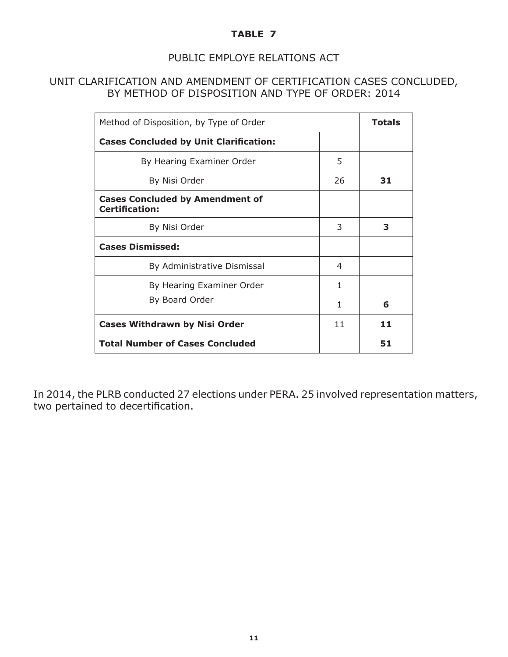### PUBLIC EMPLOYE RELATIONS ACT

#### UNIT CLARIFICATION AND AMENDMENT OF CERTIFICATION CASES CONCLUDED, BY METHOD OF DISPOSITION AND TYPE OF ORDER: 2014

| Method of Disposition, by Type of Order                         |    | <b>Totals</b> |
|-----------------------------------------------------------------|----|---------------|
| <b>Cases Concluded by Unit Clarification:</b>                   |    |               |
| By Hearing Examiner Order                                       | 5  |               |
| By Nisi Order                                                   | 26 | 31            |
| <b>Cases Concluded by Amendment of</b><br><b>Certification:</b> |    |               |
| By Nisi Order                                                   | 3  | 3             |
| <b>Cases Dismissed:</b>                                         |    |               |
| By Administrative Dismissal                                     | 4  |               |
| By Hearing Examiner Order                                       | 1  |               |
| By Board Order                                                  | 1  | 6             |
| <b>Cases Withdrawn by Nisi Order</b>                            | 11 | 11            |
| <b>Total Number of Cases Concluded</b>                          |    | 51            |

In 2014, the PLRB conducted 27 elections under PERA. 25 involved representation matters, two pertained to decertification.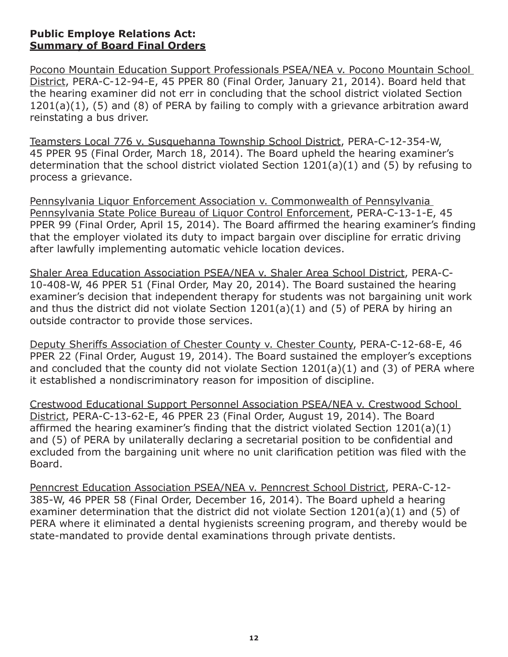#### **Public Employe Relations Act: Summary of Board Final Orders**

Pocono Mountain Education Support Professionals PSEA/NEA v. Pocono Mountain School District, PERA-C-12-94-E, 45 PPER 80 (Final Order, January 21, 2014). Board held that the hearing examiner did not err in concluding that the school district violated Section 1201(a)(1), (5) and (8) of PERA by failing to comply with a grievance arbitration award reinstating a bus driver.

Teamsters Local 776 v. Susquehanna Township School District, PERA-C-12-354-W, 45 PPER 95 (Final Order, March 18, 2014). The Board upheld the hearing examiner's determination that the school district violated Section 1201(a)(1) and (5) by refusing to process a grievance.

Pennsylvania Liquor Enforcement Association v. Commonwealth of Pennsylvania Pennsylvania State Police Bureau of Liquor Control Enforcement, PERA-C-13-1-E, 45 PPER 99 (Final Order, April 15, 2014). The Board affirmed the hearing examiner's finding that the employer violated its duty to impact bargain over discipline for erratic driving after lawfully implementing automatic vehicle location devices.

Shaler Area Education Association PSEA/NEA v. Shaler Area School District, PERA-C-10-408-W, 46 PPER 51 (Final Order, May 20, 2014). The Board sustained the hearing examiner's decision that independent therapy for students was not bargaining unit work and thus the district did not violate Section 1201(a)(1) and (5) of PERA by hiring an outside contractor to provide those services.

Deputy Sheriffs Association of Chester County v. Chester County, PERA-C-12-68-E, 46 PPER 22 (Final Order, August 19, 2014). The Board sustained the employer's exceptions and concluded that the county did not violate Section 1201(a)(1) and (3) of PERA where it established a nondiscriminatory reason for imposition of discipline.

Crestwood Educational Support Personnel Association PSEA/NEA v. Crestwood School District, PERA-C-13-62-E, 46 PPER 23 (Final Order, August 19, 2014). The Board affirmed the hearing examiner's finding that the district violated Section 1201(a)(1) and (5) of PERA by unilaterally declaring a secretarial position to be confidential and excluded from the bargaining unit where no unit clarification petition was filed with the Board.

Penncrest Education Association PSEA/NEA v. Penncrest School District, PERA-C-12- 385-W, 46 PPER 58 (Final Order, December 16, 2014). The Board upheld a hearing examiner determination that the district did not violate Section 1201(a)(1) and (5) of PERA where it eliminated a dental hygienists screening program, and thereby would be state-mandated to provide dental examinations through private dentists.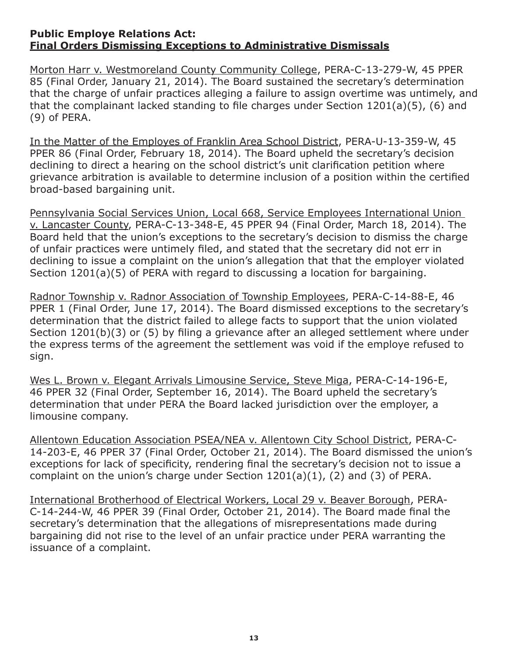#### **Public Employe Relations Act: Final Orders Dismissing Exceptions to Administrative Dismissals**

Morton Harr v. Westmoreland County Community College, PERA-C-13-279-W, 45 PPER 85 (Final Order, January 21, 2014). The Board sustained the secretary's determination that the charge of unfair practices alleging a failure to assign overtime was untimely, and that the complainant lacked standing to file charges under Section 1201(a)(5), (6) and (9) of PERA.

In the Matter of the Employes of Franklin Area School District, PERA-U-13-359-W, 45 PPER 86 (Final Order, February 18, 2014). The Board upheld the secretary's decision declining to direct a hearing on the school district's unit clarification petition where grievance arbitration is available to determine inclusion of a position within the certified broad-based bargaining unit.

Pennsylvania Social Services Union, Local 668, Service Employees International Union v. Lancaster County, PERA-C-13-348-E, 45 PPER 94 (Final Order, March 18, 2014). The Board held that the union's exceptions to the secretary's decision to dismiss the charge of unfair practices were untimely filed, and stated that the secretary did not err in declining to issue a complaint on the union's allegation that that the employer violated Section 1201(a)(5) of PERA with regard to discussing a location for bargaining.

Radnor Township v. Radnor Association of Township Employees, PERA-C-14-88-E, 46 PPER 1 (Final Order, June 17, 2014). The Board dismissed exceptions to the secretary's determination that the district failed to allege facts to support that the union violated Section 1201(b)(3) or (5) by filing a grievance after an alleged settlement where under the express terms of the agreement the settlement was void if the employe refused to sign.

Wes L. Brown v. Elegant Arrivals Limousine Service, Steve Miga, PERA-C-14-196-E, 46 PPER 32 (Final Order, September 16, 2014). The Board upheld the secretary's determination that under PERA the Board lacked jurisdiction over the employer, a limousine company.

Allentown Education Association PSEA/NEA v. Allentown City School District, PERA-C-14-203-E, 46 PPER 37 (Final Order, October 21, 2014). The Board dismissed the union's exceptions for lack of specificity, rendering final the secretary's decision not to issue a complaint on the union's charge under Section 1201(a)(1), (2) and (3) of PERA.

International Brotherhood of Electrical Workers, Local 29 v. Beaver Borough, PERA-C-14-244-W, 46 PPER 39 (Final Order, October 21, 2014). The Board made final the secretary's determination that the allegations of misrepresentations made during bargaining did not rise to the level of an unfair practice under PERA warranting the issuance of a complaint.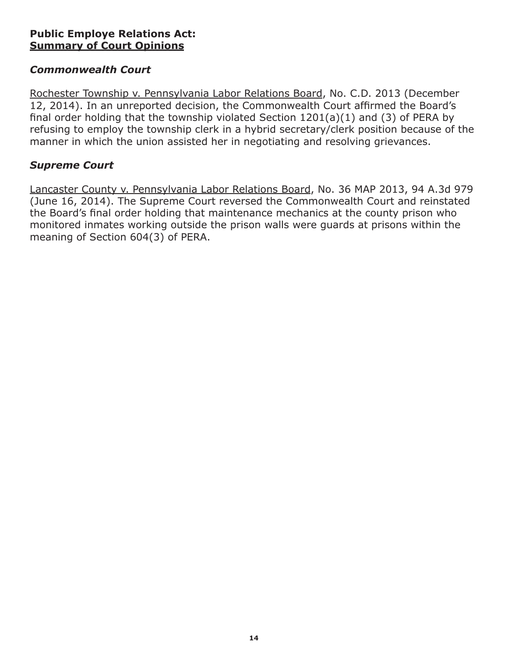## **Public Employe Relations Act: Summary of Court Opinions**

## *Commonwealth Court*

Rochester Township v. Pennsylvania Labor Relations Board, No. C.D. 2013 (December 12, 2014). In an unreported decision, the Commonwealth Court affirmed the Board's final order holding that the township violated Section 1201(a)(1) and (3) of PERA by refusing to employ the township clerk in a hybrid secretary/clerk position because of the manner in which the union assisted her in negotiating and resolving grievances.

### *Supreme Court*

Lancaster County v. Pennsylvania Labor Relations Board, No. 36 MAP 2013, 94 A.3d 979 (June 16, 2014). The Supreme Court reversed the Commonwealth Court and reinstated the Board's final order holding that maintenance mechanics at the county prison who monitored inmates working outside the prison walls were guards at prisons within the meaning of Section 604(3) of PERA.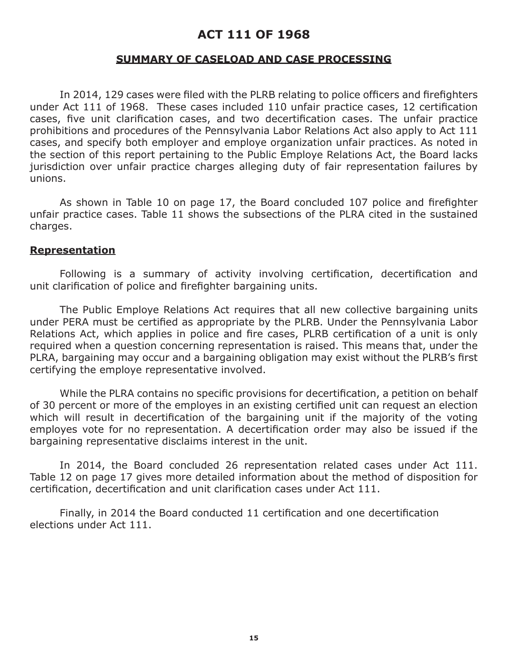## **ACT 111 OF 1968**

#### **SUMMARY OF CASELOAD AND CASE PROCESSING**

In 2014, 129 cases were filed with the PLRB relating to police officers and firefighters under Act 111 of 1968. These cases included 110 unfair practice cases, 12 certification cases, five unit clarification cases, and two decertification cases. The unfair practice prohibitions and procedures of the Pennsylvania Labor Relations Act also apply to Act 111 cases, and specify both employer and employe organization unfair practices. As noted in the section of this report pertaining to the Public Employe Relations Act, the Board lacks jurisdiction over unfair practice charges alleging duty of fair representation failures by unions.

As shown in Table 10 on page 17, the Board concluded 107 police and firefighter unfair practice cases. Table 11 shows the subsections of the PLRA cited in the sustained charges.

#### **Representation**

Following is a summary of activity involving certification, decertification and unit clarification of police and firefighter bargaining units.

The Public Employe Relations Act requires that all new collective bargaining units under PERA must be certified as appropriate by the PLRB. Under the Pennsylvania Labor Relations Act, which applies in police and fire cases, PLRB certification of a unit is only required when a question concerning representation is raised. This means that, under the PLRA, bargaining may occur and a bargaining obligation may exist without the PLRB's first certifying the employe representative involved.

While the PLRA contains no specific provisions for decertification, a petition on behalf of 30 percent or more of the employes in an existing certified unit can request an election which will result in decertification of the bargaining unit if the majority of the voting employes vote for no representation. A decertification order may also be issued if the bargaining representative disclaims interest in the unit.

In 2014, the Board concluded 26 representation related cases under Act 111. Table 12 on page 17 gives more detailed information about the method of disposition for certification, decertification and unit clarification cases under Act 111.

Finally, in 2014 the Board conducted 11 certification and one decertification elections under Act 111.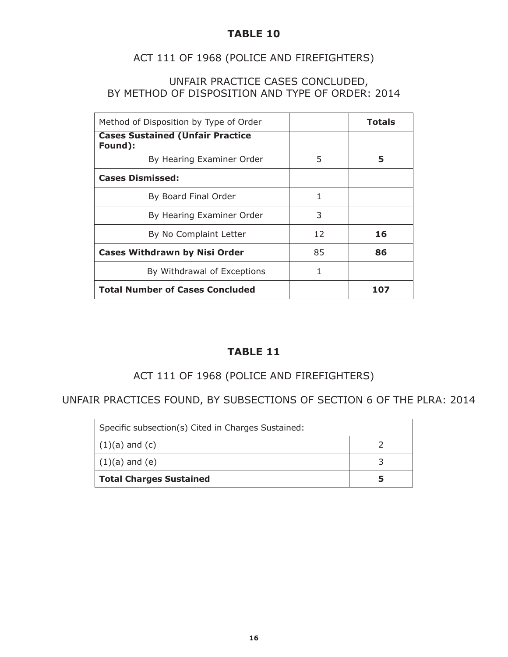## ACT 111 OF 1968 (POLICE AND FIREFIGHTERS)

#### UNFAIR PRACTICE CASES CONCLUDED, BY METHOD OF DISPOSITION AND TYPE OF ORDER: 2014

| Method of Disposition by Type of Order             |    | Totals |
|----------------------------------------------------|----|--------|
| <b>Cases Sustained (Unfair Practice</b><br>Found): |    |        |
| By Hearing Examiner Order                          | 5  | 5      |
| <b>Cases Dismissed:</b>                            |    |        |
| By Board Final Order                               | 1  |        |
| By Hearing Examiner Order                          | 3  |        |
| By No Complaint Letter                             | 12 | 16     |
| <b>Cases Withdrawn by Nisi Order</b>               | 85 | 86     |
| By Withdrawal of Exceptions                        | 1  |        |
| <b>Total Number of Cases Concluded</b>             |    | 107    |

## **TABLE 11**

## ACT 111 OF 1968 (POLICE AND FIREFIGHTERS)

UNFAIR PRACTICES FOUND, BY SUBSECTIONS OF SECTION 6 OF THE PLRA: 2014

| Specific subsection(s) Cited in Charges Sustained: |  |
|----------------------------------------------------|--|
| $(1)(a)$ and $(c)$                                 |  |
| $(1)(a)$ and $(e)$                                 |  |
| <b>Total Charges Sustained</b>                     |  |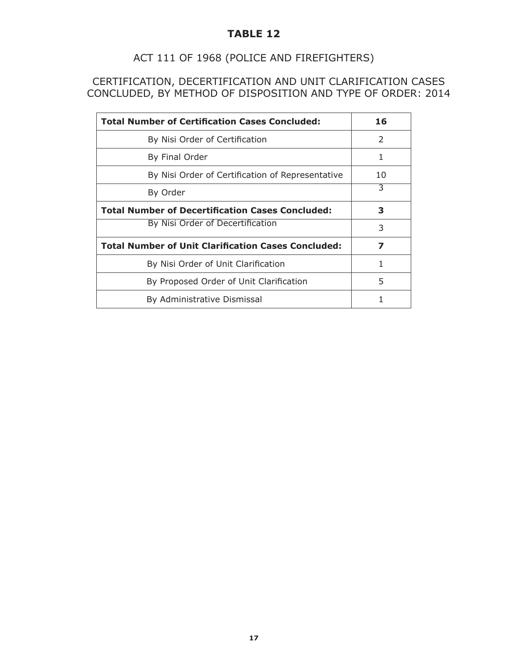## ACT 111 OF 1968 (POLICE AND FIREFIGHTERS)

CERTIFICATION, DECERTIFICATION AND UNIT CLARIFICATION CASES CONCLUDED, BY METHOD OF DISPOSITION AND TYPE OF ORDER: 2014

| <b>Total Number of Certification Cases Concluded:</b>      | 16            |
|------------------------------------------------------------|---------------|
| By Nisi Order of Certification                             | $\mathcal{P}$ |
| By Final Order                                             |               |
| By Nisi Order of Certification of Representative           | 10            |
| By Order                                                   | 3             |
| <b>Total Number of Decertification Cases Concluded:</b>    | з             |
| By Nisi Order of Decertification                           | 3             |
| <b>Total Number of Unit Clarification Cases Concluded:</b> | 7             |
| By Nisi Order of Unit Clarification                        | 1             |
| By Proposed Order of Unit Clarification                    | 5             |
| By Administrative Dismissal                                |               |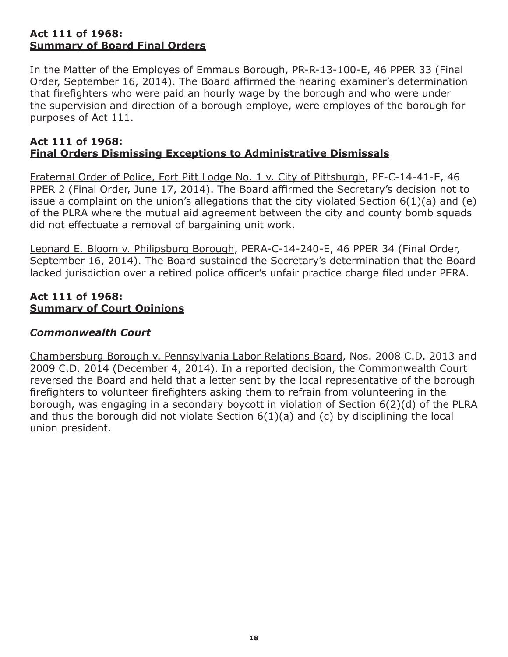#### **Act 111 of 1968: Summary of Board Final Orders**

In the Matter of the Employes of Emmaus Borough, PR-R-13-100-E, 46 PPER 33 (Final Order, September 16, 2014). The Board affirmed the hearing examiner's determination that firefighters who were paid an hourly wage by the borough and who were under the supervision and direction of a borough employe, were employes of the borough for purposes of Act 111.

#### **Act 111 of 1968: Final Orders Dismissing Exceptions to Administrative Dismissals**

Fraternal Order of Police, Fort Pitt Lodge No. 1 v. City of Pittsburgh, PF-C-14-41-E, 46 PPER 2 (Final Order, June 17, 2014). The Board affirmed the Secretary's decision not to issue a complaint on the union's allegations that the city violated Section  $6(1)(a)$  and  $(e)$ of the PLRA where the mutual aid agreement between the city and county bomb squads did not effectuate a removal of bargaining unit work.

Leonard E. Bloom v. Philipsburg Borough, PERA-C-14-240-E, 46 PPER 34 (Final Order, September 16, 2014). The Board sustained the Secretary's determination that the Board lacked jurisdiction over a retired police officer's unfair practice charge filed under PERA.

#### **Act 111 of 1968: Summary of Court Opinions**

## *Commonwealth Court*

Chambersburg Borough v. Pennsylvania Labor Relations Board, Nos. 2008 C.D. 2013 and 2009 C.D. 2014 (December 4, 2014). In a reported decision, the Commonwealth Court reversed the Board and held that a letter sent by the local representative of the borough firefighters to volunteer firefighters asking them to refrain from volunteering in the borough, was engaging in a secondary boycott in violation of Section 6(2)(d) of the PLRA and thus the borough did not violate Section 6(1)(a) and (c) by disciplining the local union president.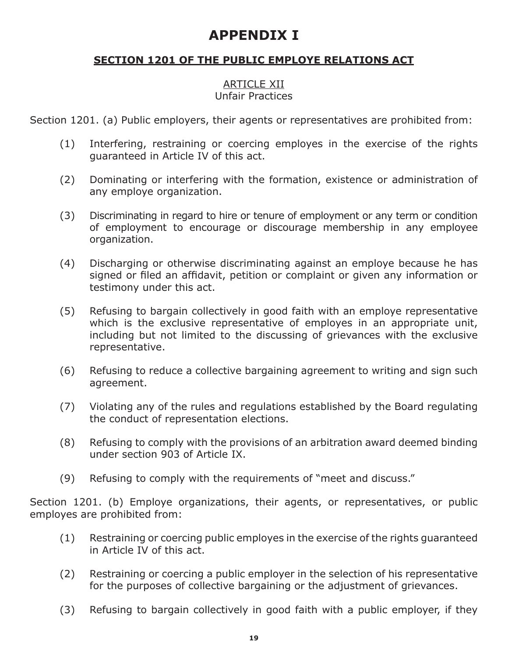## **APPENDIX I**

## **SECTION 1201 OF THE PUBLIC EMPLOYE RELATIONS ACT**

#### ARTICLE XII Unfair Practices

Section 1201. (a) Public employers, their agents or representatives are prohibited from:

- (1) Interfering, restraining or coercing employes in the exercise of the rights guaranteed in Article IV of this act.
- (2) Dominating or interfering with the formation, existence or administration of any employe organization.
- (3) Discriminating in regard to hire or tenure of employment or any term or condition of employment to encourage or discourage membership in any employee organization.
- (4) Discharging or otherwise discriminating against an employe because he has signed or filed an affidavit, petition or complaint or given any information or testimony under this act.
- (5) Refusing to bargain collectively in good faith with an employe representative which is the exclusive representative of employes in an appropriate unit, including but not limited to the discussing of grievances with the exclusive representative.
- (6) Refusing to reduce a collective bargaining agreement to writing and sign such agreement.
- (7) Violating any of the rules and regulations established by the Board regulating the conduct of representation elections.
- (8) Refusing to comply with the provisions of an arbitration award deemed binding under section 903 of Article IX.
- (9) Refusing to comply with the requirements of "meet and discuss."

Section 1201. (b) Employe organizations, their agents, or representatives, or public employes are prohibited from:

- (1) Restraining or coercing public employes in the exercise of the rights guaranteed in Article IV of this act.
- (2) Restraining or coercing a public employer in the selection of his representative for the purposes of collective bargaining or the adjustment of grievances.
- (3) Refusing to bargain collectively in good faith with a public employer, if they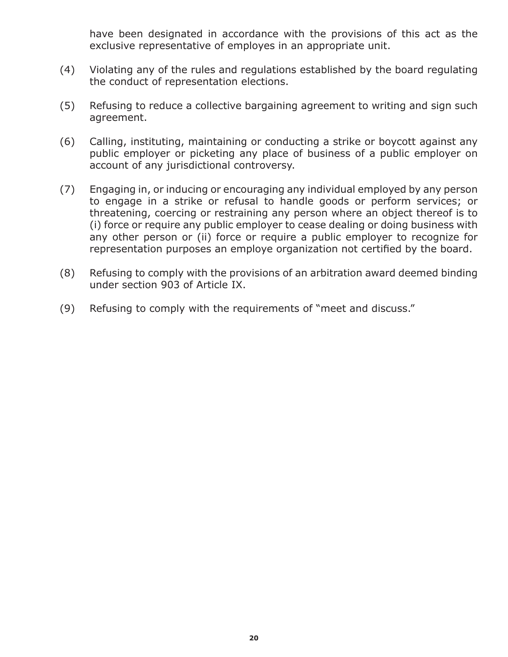have been designated in accordance with the provisions of this act as the exclusive representative of employes in an appropriate unit.

- (4) Violating any of the rules and regulations established by the board regulating the conduct of representation elections.
- (5) Refusing to reduce a collective bargaining agreement to writing and sign such agreement.
- (6) Calling, instituting, maintaining or conducting a strike or boycott against any public employer or picketing any place of business of a public employer on account of any jurisdictional controversy.
- (7) Engaging in, or inducing or encouraging any individual employed by any person to engage in a strike or refusal to handle goods or perform services; or threatening, coercing or restraining any person where an object thereof is to (i) force or require any public employer to cease dealing or doing business with any other person or (ii) force or require a public employer to recognize for representation purposes an employe organization not certified by the board.
- (8) Refusing to comply with the provisions of an arbitration award deemed binding under section 903 of Article IX.
- (9) Refusing to comply with the requirements of "meet and discuss."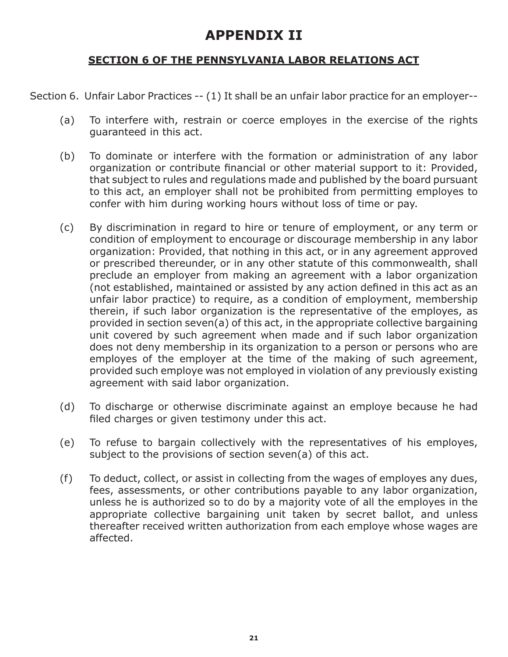## **APPENDIX II**

## **SECTION 6 OF THE PENNSYLVANIA LABOR RELATIONS ACT**

Section 6. Unfair Labor Practices -- (1) It shall be an unfair labor practice for an employer--

- (a) To interfere with, restrain or coerce employes in the exercise of the rights guaranteed in this act.
- (b) To dominate or interfere with the formation or administration of any labor organization or contribute financial or other material support to it: Provided, that subject to rules and regulations made and published by the board pursuant to this act, an employer shall not be prohibited from permitting employes to confer with him during working hours without loss of time or pay.
- (c) By discrimination in regard to hire or tenure of employment, or any term or condition of employment to encourage or discourage membership in any labor organization: Provided, that nothing in this act, or in any agreement approved or prescribed thereunder, or in any other statute of this commonwealth, shall preclude an employer from making an agreement with a labor organization (not established, maintained or assisted by any action defined in this act as an unfair labor practice) to require, as a condition of employment, membership therein, if such labor organization is the representative of the employes, as provided in section seven(a) of this act, in the appropriate collective bargaining unit covered by such agreement when made and if such labor organization does not deny membership in its organization to a person or persons who are employes of the employer at the time of the making of such agreement, provided such employe was not employed in violation of any previously existing agreement with said labor organization.
- (d) To discharge or otherwise discriminate against an employe because he had filed charges or given testimony under this act.
- (e) To refuse to bargain collectively with the representatives of his employes, subject to the provisions of section seven(a) of this act.
- (f) To deduct, collect, or assist in collecting from the wages of employes any dues, fees, assessments, or other contributions payable to any labor organization, unless he is authorized so to do by a majority vote of all the employes in the appropriate collective bargaining unit taken by secret ballot, and unless thereafter received written authorization from each employe whose wages are affected.